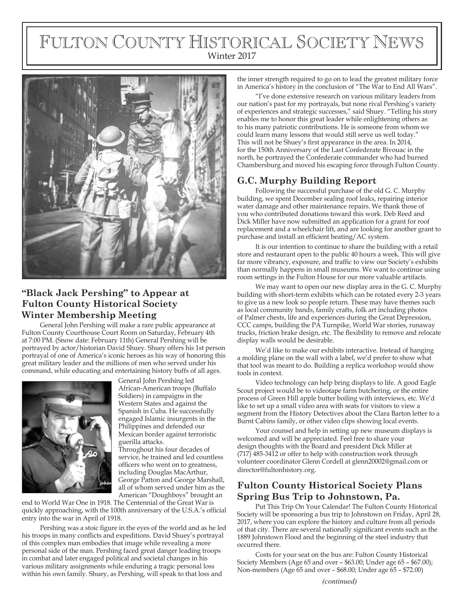# FULTON COUNTY HISTORICAL SOCIETY NEWS Winter 2017



# **"Black Jack Pershing" to Appear at Fulton County Historical Society Winter Membership Meeting**

General John Pershing will make a rare public appearance at Fulton County Courthouse Court Room on Saturday, February 4th at 7:00 PM. (Snow date: February 11th) General Pershing will be portrayed by actor/historian David Shuey. Shuey offers his 1st person portrayal of one of America's iconic heroes as his way of honoring this great military leader and the millions of men who served under his command, while educating and entertaining history buffs of all ages.



General John Pershing led African-American troops (Buffalo Soldiers) in campaigns in the Western States and against the Spanish in Cuba. He successfully engaged Islamic insurgents in the Philippines and defended our Mexican border against terroristic guerilla attacks.

Throughout his four decades of service, he trained and led countless officers who went on to greatness, including Douglas MacArthur, George Patton and George Marshall, all of whom served under him as the American "Doughboys" brought an

end to World War One in 1918. The Centennial of the Great War is quickly approaching, with the 100th anniversary of the U.S.A.'s official entry into the war in April of 1918.

Pershing was a stoic figure in the eyes of the world and as he led his troops in many conflicts and expeditions. David Shuey's portrayal of this complex man embodies that image while revealing a more personal side of the man. Pershing faced great danger leading troops in combat and later engaged political and societal changes in his various military assignments while enduring a tragic personal loss within his own family. Shuey, as Pershing, will speak to that loss and

the inner strength required to go on to lead the greatest military force in America's history in the conclusion of "The War to End All Wars".

"I've done extensive research on various military leaders from our nation's past for my portrayals, but none rival Pershing's variety of experiences and strategic successes," said Shuey. "Telling his story enables me to honor this great leader while enlightening others as to his many patriotic contributions. He is someone from whom we could learn many lessons that would still serve us well today." This will not be Shuey's first appearance in the area. In 2014, for the 150th Anniversary of the Last Confederate Bivouac in the north, he portrayed the Confederate commander who had burned Chambersburg and moved his escaping force through Fulton County.

## **G.C. Murphy Building Report**

Following the successful purchase of the old G. C. Murphy building, we spent December sealing roof leaks, repairing interior water damage and other maintenance repairs. We thank those of you who contributed donations toward this work. Deb Reed and Dick Miller have now submitted an application for a grant for roof replacement and a wheelchair lift, and are looking for another grant to purchase and install an efficient heating/AC system.

It is our intention to continue to share the building with a retail store and restaurant open to the public 40 hours a week. This will give far more vibrancy, exposure, and traffic to view our Society's exhibits than normally happens in small museums. We want to continue using room settings in the Fulton House for our more valuable artifacts.

We may want to open our new display area in the G. C. Murphy building with short-term exhibits which can be rotated every 2-3 years to give us a new look so people return. These may have themes such as local community bands, family crafts, folk art including photos of Palmer chests, life and experiences during the Great Depression, CCC camps, building the PA Turnpike, World War stories, runaway trucks, friction brake design, etc. The flexibility to remove and relocate display walls would be desirable.

We'd like to make our exhibits interactive. Instead of hanging a molding plane on the wall with a label, we'd prefer to show what that tool was meant to do. Building a replica workshop would show tools in context.

Video technology can help bring displays to life. A good Eagle Scout project would be to videotape farm butchering, or the entire process of Green Hill apple butter boiling with interviews, etc. We'd like to set up a small video area with seats for visitors to view a segment from the History Detectives about the Clara Barton letter to a Burnt Cabins family, or other video clips showing local events.

Your counsel and help in setting up new museum displays is welcomed and will be appreciated. Feel free to share your design thoughts with the Board and president Dick Miller at (717) 485-3412 or offer to help with construction work through volunteer coordinator Glenn Cordell at glenn20002@gmail.com or director@fultonhistory.org.

## **Fulton County Historical Society Plans Spring Bus Trip to Johnstown, Pa.**

Put This Trip On Your Calendar! The Fulton County Historical Society will be sponsoring a bus trip to Johnstown on Friday, April 28, 2017, where you can explore the history and culture from all periods of that city. There are several nationally significant events such as the 1889 Johnstown Flood and the beginning of the steel industry that occurred there.

Costs for your seat on the bus are: Fulton County Historical Society Members (Age 65 and over – \$63.00; Under age 65 – \$67.00); Non-members (Age 65 and over – \$68.00; Under age 65 – \$72.00)

*(continued)*